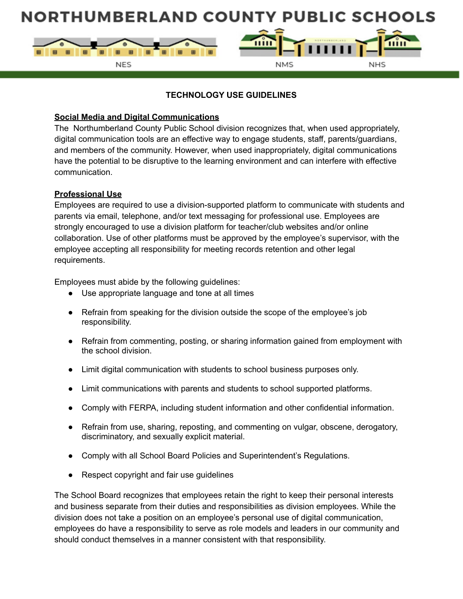

### **TECHNOLOGY USE GUIDELINES**

### **Social Media and Digital Communications**

The Northumberland County Public School division recognizes that, when used appropriately, digital communication tools are an effective way to engage students, staff, parents/guardians, and members of the community. However, when used inappropriately, digital communications have the potential to be disruptive to the learning environment and can interfere with effective communication.

#### **Professional Use**

Employees are required to use a division-supported platform to communicate with students and parents via email, telephone, and/or text messaging for professional use. Employees are strongly encouraged to use a division platform for teacher/club websites and/or online collaboration. Use of other platforms must be approved by the employee's supervisor, with the employee accepting all responsibility for meeting records retention and other legal requirements.

Employees must abide by the following guidelines:

- Use appropriate language and tone at all times
- Refrain from speaking for the division outside the scope of the employee's job responsibility.
- Refrain from commenting, posting, or sharing information gained from employment with the school division.
- Limit digital communication with students to school business purposes only.
- Limit communications with parents and students to school supported platforms.
- Comply with FERPA, including student information and other confidential information.
- Refrain from use, sharing, reposting, and commenting on vulgar, obscene, derogatory, discriminatory, and sexually explicit material.
- Comply with all School Board Policies and Superintendent's Regulations.
- Respect copyright and fair use guidelines

The School Board recognizes that employees retain the right to keep their personal interests and business separate from their duties and responsibilities as division employees. While the division does not take a position on an employee's personal use of digital communication, employees do have a responsibility to serve as role models and leaders in our community and should conduct themselves in a manner consistent with that responsibility.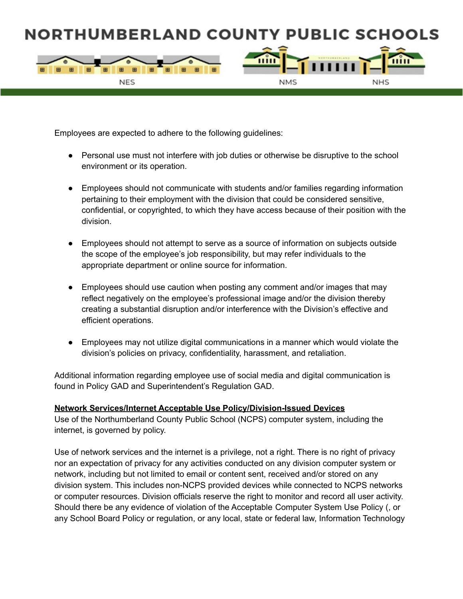

Employees are expected to adhere to the following guidelines:

- Personal use must not interfere with job duties or otherwise be disruptive to the school environment or its operation.
- Employees should not communicate with students and/or families regarding information pertaining to their employment with the division that could be considered sensitive, confidential, or copyrighted, to which they have access because of their position with the division.
- Employees should not attempt to serve as a source of information on subjects outside the scope of the employee's job responsibility, but may refer individuals to the appropriate department or online source for information.
- Employees should use caution when posting any comment and/or images that may reflect negatively on the employee's professional image and/or the division thereby creating a substantial disruption and/or interference with the Division's effective and efficient operations.
- Employees may not utilize digital communications in a manner which would violate the division's policies on privacy, confidentiality, harassment, and retaliation.

Additional information regarding employee use of social media and digital communication is found in Policy GAD and Superintendent's Regulation GAD.

#### **Network Services/Internet Acceptable Use Policy/Division-Issued Devices**

Use of the Northumberland County Public School (NCPS) computer system, including the internet, is governed by policy.

Use of network services and the internet is a privilege, not a right. There is no right of privacy nor an expectation of privacy for any activities conducted on any division computer system or network, including but not limited to email or content sent, received and/or stored on any division system. This includes non-NCPS provided devices while connected to NCPS networks or computer resources. Division officials reserve the right to monitor and record all user activity. Should there be any evidence of violation of the Acceptable Computer System Use Policy (, or any School Board Policy or regulation, or any local, state or federal law, Information Technology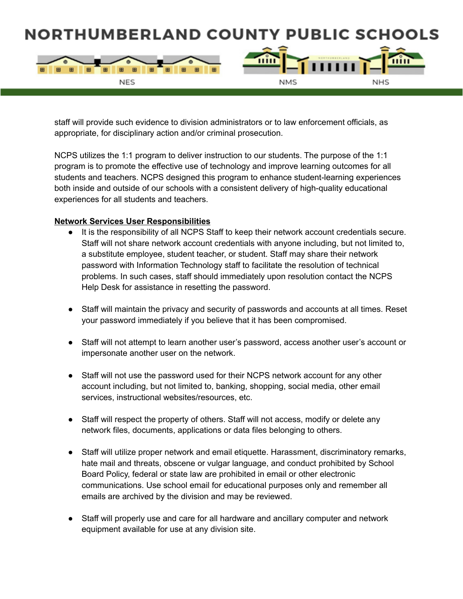

staff will provide such evidence to division administrators or to law enforcement officials, as appropriate, for disciplinary action and/or criminal prosecution.

NCPS utilizes the 1:1 program to deliver instruction to our students. The purpose of the 1:1 program is to promote the effective use of technology and improve learning outcomes for all students and teachers. NCPS designed this program to enhance student-learning experiences both inside and outside of our schools with a consistent delivery of high-quality educational experiences for all students and teachers.

#### **Network Services User Responsibilities**

- It is the responsibility of all NCPS Staff to keep their network account credentials secure. Staff will not share network account credentials with anyone including, but not limited to, a substitute employee, student teacher, or student. Staff may share their network password with Information Technology staff to facilitate the resolution of technical problems. In such cases, staff should immediately upon resolution contact the NCPS Help Desk for assistance in resetting the password.
- Staff will maintain the privacy and security of passwords and accounts at all times. Reset your password immediately if you believe that it has been compromised.
- Staff will not attempt to learn another user's password, access another user's account or impersonate another user on the network.
- Staff will not use the password used for their NCPS network account for any other account including, but not limited to, banking, shopping, social media, other email services, instructional websites/resources, etc.
- Staff will respect the property of others. Staff will not access, modify or delete any network files, documents, applications or data files belonging to others.
- Staff will utilize proper network and email etiquette. Harassment, discriminatory remarks, hate mail and threats, obscene or vulgar language, and conduct prohibited by School Board Policy, federal or state law are prohibited in email or other electronic communications. Use school email for educational purposes only and remember all emails are archived by the division and may be reviewed.
- Staff will properly use and care for all hardware and ancillary computer and network equipment available for use at any division site.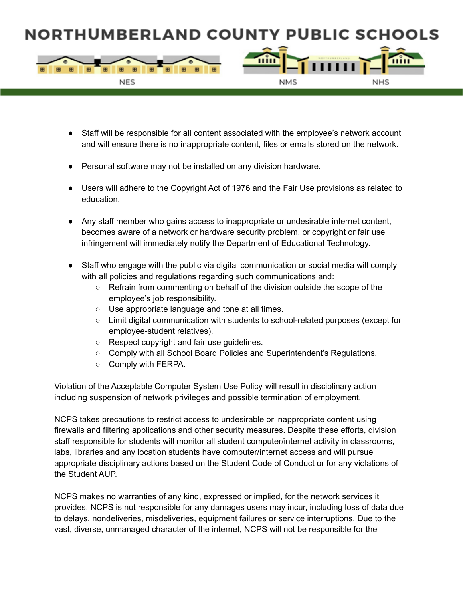

- Staff will be responsible for all content associated with the employee's network account and will ensure there is no inappropriate content, files or emails stored on the network.
- Personal software may not be installed on any division hardware.
- Users will adhere to the Copyright Act of 1976 and the Fair Use provisions as related to education.
- Any staff member who gains access to inappropriate or undesirable internet content, becomes aware of a network or hardware security problem, or copyright or fair use infringement will immediately notify the Department of Educational Technology.
- Staff who engage with the public via digital communication or social media will comply with all policies and regulations regarding such communications and:
	- Refrain from commenting on behalf of the division outside the scope of the employee's job responsibility.
	- Use appropriate language and tone at all times.
	- Limit digital communication with students to school-related purposes (except for employee-student relatives).
	- Respect copyright and fair use guidelines.
	- Comply with all School Board Policies and Superintendent's Regulations.
	- Comply with FERPA.

Violation of the Acceptable Computer System Use Policy will result in disciplinary action including suspension of network privileges and possible termination of employment.

NCPS takes precautions to restrict access to undesirable or inappropriate content using firewalls and filtering applications and other security measures. Despite these efforts, division staff responsible for students will monitor all student computer/internet activity in classrooms, labs, libraries and any location students have computer/internet access and will pursue appropriate disciplinary actions based on the Student Code of Conduct or for any violations of the Student AUP.

NCPS makes no warranties of any kind, expressed or implied, for the network services it provides. NCPS is not responsible for any damages users may incur, including loss of data due to delays, nondeliveries, misdeliveries, equipment failures or service interruptions. Due to the vast, diverse, unmanaged character of the internet, NCPS will not be responsible for the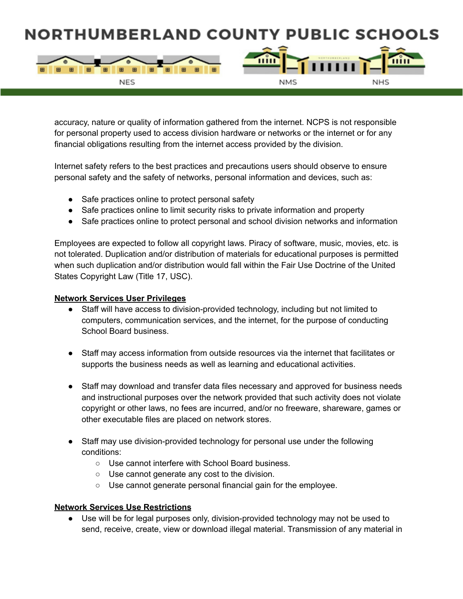

accuracy, nature or quality of information gathered from the internet. NCPS is not responsible for personal property used to access division hardware or networks or the internet or for any financial obligations resulting from the internet access provided by the division.

Internet safety refers to the best practices and precautions users should observe to ensure personal safety and the safety of networks, personal information and devices, such as:

- Safe practices online to protect personal safety
- Safe practices online to limit security risks to private information and property
- Safe practices online to protect personal and school division networks and information

Employees are expected to follow all copyright laws. Piracy of software, music, movies, etc. is not tolerated. Duplication and/or distribution of materials for educational purposes is permitted when such duplication and/or distribution would fall within the Fair Use Doctrine of the United States Copyright Law (Title 17, USC).

#### **Network Services User Privileges**

- Staff will have access to division-provided technology, including but not limited to computers, communication services, and the internet, for the purpose of conducting School Board business.
- Staff may access information from outside resources via the internet that facilitates or supports the business needs as well as learning and educational activities.
- Staff may download and transfer data files necessary and approved for business needs and instructional purposes over the network provided that such activity does not violate copyright or other laws, no fees are incurred, and/or no freeware, shareware, games or other executable files are placed on network stores.
- Staff may use division-provided technology for personal use under the following conditions:
	- Use cannot interfere with School Board business.
	- Use cannot generate any cost to the division.
	- Use cannot generate personal financial gain for the employee.

#### **Network Services Use Restrictions**

● Use will be for legal purposes only, division-provided technology may not be used to send, receive, create, view or download illegal material. Transmission of any material in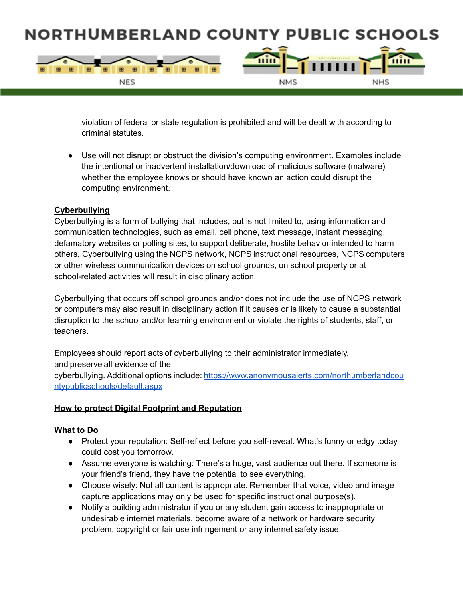

violation of federal or state regulation is prohibited and will be dealt with according to criminal statutes.

● Use will not disrupt or obstruct the division's computing environment. Examples include the intentional or inadvertent installation/download of malicious software (malware) whether the employee knows or should have known an action could disrupt the computing environment.

#### **Cyberbullying**

Cyberbullying is a form of bullying that includes, but is not limited to, using information and communication technologies, such as email, cell phone, text message, instant messaging, defamatory websites or polling sites, to support deliberate, hostile behavior intended to harm others. Cyberbullying using the NCPS network, NCPS instructional resources, NCPS computers or other wireless communication devices on school grounds, on school property or at school-related activities will result in disciplinary action.

Cyberbullying that occurs off school grounds and/or does not include the use of NCPS network or computers may also result in disciplinary action if it causes or is likely to cause a substantial disruption to the school and/or learning environment or violate the rights of students, staff, or teachers.

Employees should report acts of cyberbullying to their administrator immediately, and preserve all evidence of the cyberbullying. Additional options include: [https://www.anonymousalerts.com/northumberlandcou](https://www.anonymousalerts.com/northumberlandcountypublicschools/default.aspx) [ntypublicschools/default.aspx](https://www.anonymousalerts.com/northumberlandcountypublicschools/default.aspx)

#### **How to protect Digital Footprint and Reputation**

#### **What to Do**

- Protect your reputation: Self-reflect before you self-reveal. What's funny or edgy today could cost you tomorrow.
- Assume everyone is watching: There's a huge, vast audience out there. If someone is your friend's friend, they have the potential to see everything.
- Choose wisely: Not all content is appropriate. Remember that voice, video and image capture applications may only be used for specific instructional purpose(s).
- Notify a building administrator if you or any student gain access to inappropriate or undesirable internet materials, become aware of a network or hardware security problem, copyright or fair use infringement or any internet safety issue.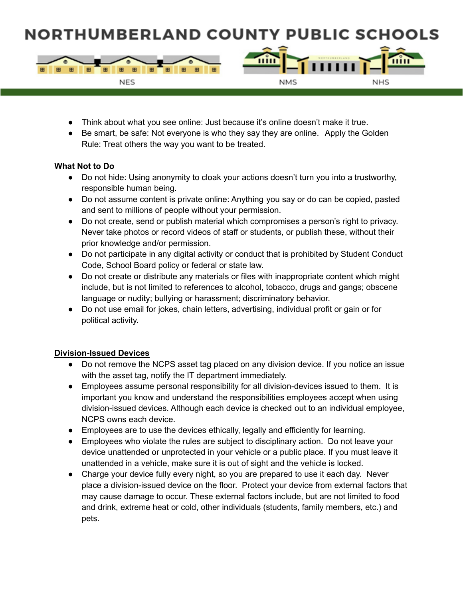

- Think about what you see online: Just because it's online doesn't make it true.
- Be smart, be safe: Not everyone is who they say they are online. Apply the Golden Rule: Treat others the way you want to be treated.

#### **What Not to Do**

- Do not hide: Using anonymity to cloak your actions doesn't turn you into a trustworthy, responsible human being.
- Do not assume content is private online: Anything you say or do can be copied, pasted and sent to millions of people without your permission.
- Do not create, send or publish material which compromises a person's right to privacy. Never take photos or record videos of staff or students, or publish these, without their prior knowledge and/or permission.
- Do not participate in any digital activity or conduct that is prohibited by Student Conduct Code, School Board policy or federal or state law.
- Do not create or distribute any materials or files with inappropriate content which might include, but is not limited to references to alcohol, tobacco, drugs and gangs; obscene language or nudity; bullying or harassment; discriminatory behavior.
- Do not use email for jokes, chain letters, advertising, individual profit or gain or for political activity.

#### **Division-Issued Devices**

- Do not remove the NCPS asset tag placed on any division device. If you notice an issue with the asset tag, notify the IT department immediately.
- Employees assume personal responsibility for all division-devices issued to them. It is important you know and understand the responsibilities employees accept when using division-issued devices. Although each device is checked out to an individual employee, NCPS owns each device.
- Employees are to use the devices ethically, legally and efficiently for learning.
- Employees who violate the rules are subject to disciplinary action. Do not leave your device unattended or unprotected in your vehicle or a public place. If you must leave it unattended in a vehicle, make sure it is out of sight and the vehicle is locked.
- Charge your device fully every night, so you are prepared to use it each day. Never place a division-issued device on the floor. Protect your device from external factors that may cause damage to occur. These external factors include, but are not limited to food and drink, extreme heat or cold, other individuals (students, family members, etc.) and pets.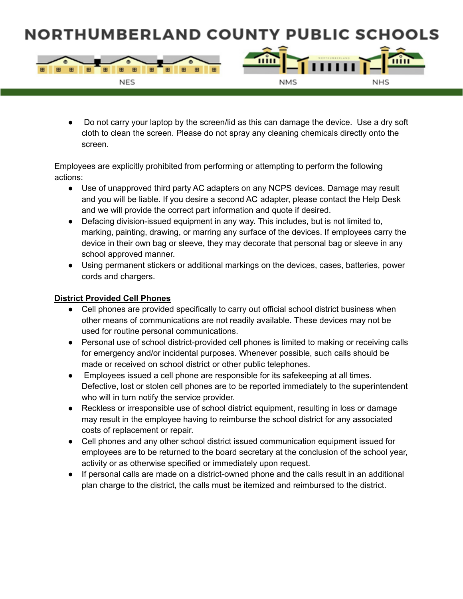

Do not carry your laptop by the screen/lid as this can damage the device. Use a dry soft cloth to clean the screen. Please do not spray any cleaning chemicals directly onto the screen.

Employees are explicitly prohibited from performing or attempting to perform the following actions:

- Use of unapproved third party AC adapters on any NCPS devices. Damage may result and you will be liable. If you desire a second AC adapter, please contact the Help Desk and we will provide the correct part information and quote if desired.
- Defacing division-issued equipment in any way. This includes, but is not limited to, marking, painting, drawing, or marring any surface of the devices. If employees carry the device in their own bag or sleeve, they may decorate that personal bag or sleeve in any school approved manner.
- Using permanent stickers or additional markings on the devices, cases, batteries, power cords and chargers.

### **District Provided Cell Phones**

- Cell phones are provided specifically to carry out official school district business when other means of communications are not readily available. These devices may not be used for routine personal communications.
- Personal use of school district-provided cell phones is limited to making or receiving calls for emergency and/or incidental purposes. Whenever possible, such calls should be made or received on school district or other public telephones.
- Employees issued a cell phone are responsible for its safekeeping at all times. Defective, lost or stolen cell phones are to be reported immediately to the superintendent who will in turn notify the service provider.
- Reckless or irresponsible use of school district equipment, resulting in loss or damage may result in the employee having to reimburse the school district for any associated costs of replacement or repair.
- Cell phones and any other school district issued communication equipment issued for employees are to be returned to the board secretary at the conclusion of the school year, activity or as otherwise specified or immediately upon request.
- If personal calls are made on a district-owned phone and the calls result in an additional plan charge to the district, the calls must be itemized and reimbursed to the district.